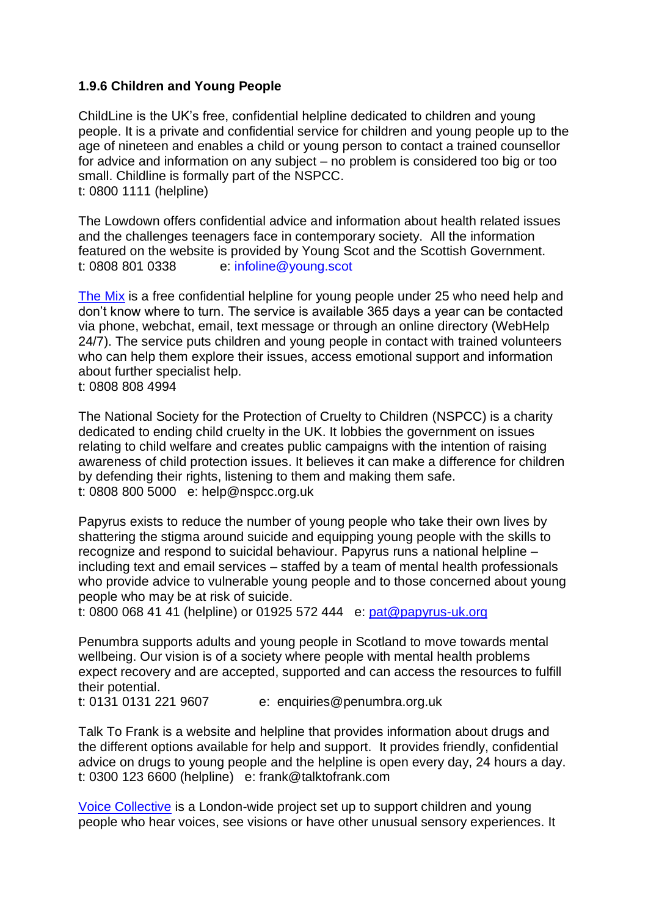## **1.9.6 Children and Young People**

[ChildLine](https://www.childline.org.uk/Pages/Home.aspx) is the UK's free, confidential helpline dedicated to children and young people. It is a private and confidential service for children and young people up to the age of nineteen and enables a child or young person to contact a trained counsellor for advice and information on any subject – no problem is considered too big or too small. Childline is formally part of the NSPCC. t: 0800 1111 (helpline)

[The Lowdown](http://young.scot/get-the-lowdown) offers confidential advice and information about health related issues and the challenges teenagers face in contemporary society. All the information featured on the website is provided by Young Scot and the Scottish Government. t: 0808 801 0338 e: [infoline@young.scot](mailto:infoline@young.scot)

[The Mix](http://www.themix.org.uk/) is a free confidential helpline for young people under 25 who need help and don't know where to turn. The service is available 365 days a year can be contacted via phone, webchat, email, text message or through an online directory (WebHelp 24/7). The service puts children and young people in contact with trained volunteers who can help them explore their issues, access emotional support and information about further specialist help.

t: 0808 808 4994

[The National Society for the Protection of Cruelty to Children](http://www.nspcc.org.uk/) (NSPCC) is a charity dedicated to ending child cruelty in the UK. It lobbies the government on issues relating to child welfare and creates public campaigns with the intention of raising awareness of child protection issues. It believes it can make a difference for children by defending their rights, listening to them and making them safe. t: 0808 800 5000 e: [help@nspcc.org.uk](mailto:help@nspcc.org.uk)

[Papyrus](https://www.papyrus-uk.org/) exists to reduce the number of young people who take their own lives by shattering the stigma around suicide and equipping young people with the skills to recognize and respond to suicidal behaviour. Papyrus runs a national helpline – including text and email services – staffed by a team of mental health professionals who provide advice to vulnerable young people and to those concerned about young people who may be at risk of suicide.

t: 0800 068 41 41 (helpline) or 01925 572 444 e: [pat@papyrus-uk.org](mailto:pat@papyrus-uk.org)

[Penumbra](http://www.penumbra.org.uk/) supports adults and young people in Scotland to move towards mental wellbeing. Our vision is of a society where people with mental health problems expect recovery and are accepted, supported and can access the resources to fulfill their potential.

t: 0131 0131 221 9607 e: [enquiries@penumbra.org.uk](mailto:enquiries@penumbra.org.uk)

[Talk To Frank](http://www.talktofrank.com/) is a website and helpline that provides information about drugs and the different options available for help and support. It provides friendly, confidential advice on drugs to young people and the helpline is open every day, 24 hours a day. t: 0300 123 6600 (helpline) e: [frank@talktofrank.com](mailto:frank@talktofrank.com)

[Voice Collective](http://www.voicecollective.co.uk/) is a London-wide project set up to support children and young people who hear voices, see visions or have other unusual sensory experiences. It